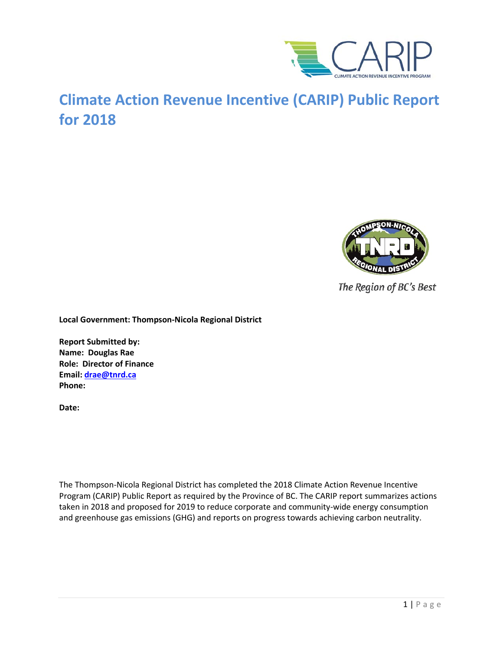

# **Climate Action Revenue Incentive (CARIP) Public Report for 2018**



The Region of BC's Best

**Local Government: Thompson-Nicola Regional District**

**Report Submitted by: Name: Douglas Rae Role: Director of Finance Email: [drae@tnrd.ca](mailto:drae@tnrd.ca) Phone:**

**Date:**

The Thompson-Nicola Regional District has completed the 2018 Climate Action Revenue Incentive Program (CARIP) Public Report as required by the Province of BC. The CARIP report summarizes actions taken in 2018 and proposed for 2019 to reduce corporate and community-wide energy consumption and greenhouse gas emissions (GHG) and reports on progress towards achieving carbon neutrality.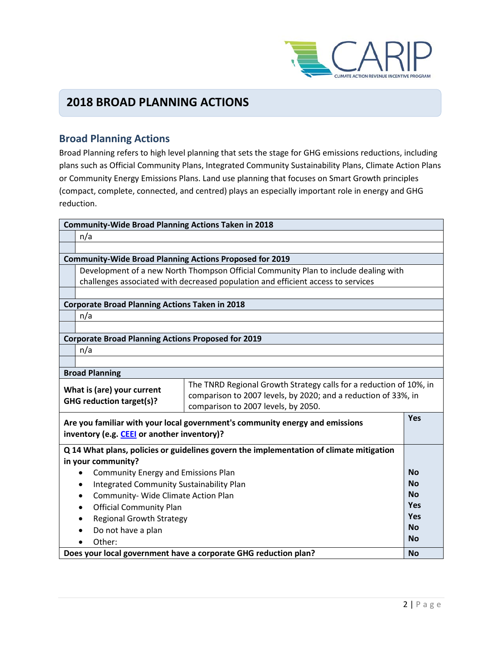

## **2018 BROAD PLANNING ACTIONS**

### **Broad Planning Actions**

Broad Planning refers to high level planning that sets the stage for GHG emissions reductions, including plans such as Official Community Plans, Integrated Community Sustainability Plans, Climate Action Plans or Community Energy Emissions Plans. Land use planning that focuses on Smart Growth principles (compact, complete, connected, and centred) plays an especially important role in energy and GHG reduction.

| <b>Community-Wide Broad Planning Actions Taken in 2018</b>                                                                                                                                                                                   |                                                                                     |           |
|----------------------------------------------------------------------------------------------------------------------------------------------------------------------------------------------------------------------------------------------|-------------------------------------------------------------------------------------|-----------|
| n/a                                                                                                                                                                                                                                          |                                                                                     |           |
|                                                                                                                                                                                                                                              |                                                                                     |           |
| <b>Community-Wide Broad Planning Actions Proposed for 2019</b>                                                                                                                                                                               |                                                                                     |           |
|                                                                                                                                                                                                                                              | Development of a new North Thompson Official Community Plan to include dealing with |           |
|                                                                                                                                                                                                                                              | challenges associated with decreased population and efficient access to services    |           |
|                                                                                                                                                                                                                                              |                                                                                     |           |
| <b>Corporate Broad Planning Actions Taken in 2018</b>                                                                                                                                                                                        |                                                                                     |           |
| n/a                                                                                                                                                                                                                                          |                                                                                     |           |
|                                                                                                                                                                                                                                              |                                                                                     |           |
| <b>Corporate Broad Planning Actions Proposed for 2019</b>                                                                                                                                                                                    |                                                                                     |           |
| n/a                                                                                                                                                                                                                                          |                                                                                     |           |
|                                                                                                                                                                                                                                              |                                                                                     |           |
| <b>Broad Planning</b>                                                                                                                                                                                                                        |                                                                                     |           |
| The TNRD Regional Growth Strategy calls for a reduction of 10%, in<br>What is (are) your current<br>comparison to 2007 levels, by 2020; and a reduction of 33%, in<br><b>GHG reduction target(s)?</b><br>comparison to 2007 levels, by 2050. |                                                                                     |           |
| Are you familiar with your local government's community energy and emissions<br>inventory (e.g. CEEI or another inventory)?                                                                                                                  |                                                                                     | Yes       |
| Q 14 What plans, policies or guidelines govern the implementation of climate mitigation<br>in your community?                                                                                                                                |                                                                                     |           |
| <b>Community Energy and Emissions Plan</b><br>$\bullet$                                                                                                                                                                                      |                                                                                     | <b>No</b> |
| Integrated Community Sustainability Plan                                                                                                                                                                                                     |                                                                                     | <b>No</b> |
| Community- Wide Climate Action Plan<br>$\bullet$                                                                                                                                                                                             |                                                                                     | <b>No</b> |
| <b>Official Community Plan</b>                                                                                                                                                                                                               |                                                                                     | Yes       |
| <b>Regional Growth Strategy</b>                                                                                                                                                                                                              |                                                                                     | Yes       |
| Do not have a plan                                                                                                                                                                                                                           |                                                                                     | <b>No</b> |
| Other:                                                                                                                                                                                                                                       |                                                                                     | <b>No</b> |
| Does your local government have a corporate GHG reduction plan?                                                                                                                                                                              |                                                                                     | <b>No</b> |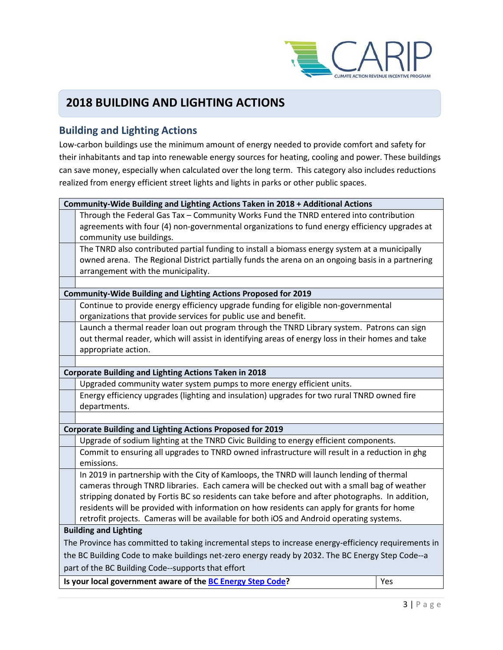

## **2018 BUILDING AND LIGHTING ACTIONS**

### **Building and Lighting Actions**

Low-carbon buildings use the minimum amount of energy needed to provide comfort and safety for their inhabitants and tap into renewable energy sources for heating, cooling and power. These buildings can save money, especially when calculated over the long term. This category also includes reductions realized from energy efficient street lights and lights in parks or other public spaces.

| Community-Wide Building and Lighting Actions Taken in 2018 + Additional Actions                  |                                                                                                      |  |  |
|--------------------------------------------------------------------------------------------------|------------------------------------------------------------------------------------------------------|--|--|
|                                                                                                  | Through the Federal Gas Tax - Community Works Fund the TNRD entered into contribution                |  |  |
|                                                                                                  | agreements with four (4) non-governmental organizations to fund energy efficiency upgrades at        |  |  |
|                                                                                                  | community use buildings.                                                                             |  |  |
|                                                                                                  | The TNRD also contributed partial funding to install a biomass energy system at a municipally        |  |  |
|                                                                                                  | owned arena. The Regional District partially funds the arena on an ongoing basis in a partnering     |  |  |
|                                                                                                  | arrangement with the municipality.                                                                   |  |  |
|                                                                                                  |                                                                                                      |  |  |
|                                                                                                  | <b>Community-Wide Building and Lighting Actions Proposed for 2019</b>                                |  |  |
|                                                                                                  | Continue to provide energy efficiency upgrade funding for eligible non-governmental                  |  |  |
|                                                                                                  | organizations that provide services for public use and benefit.                                      |  |  |
|                                                                                                  | Launch a thermal reader loan out program through the TNRD Library system. Patrons can sign           |  |  |
|                                                                                                  | out thermal reader, which will assist in identifying areas of energy loss in their homes and take    |  |  |
|                                                                                                  | appropriate action.                                                                                  |  |  |
|                                                                                                  |                                                                                                      |  |  |
|                                                                                                  | <b>Corporate Building and Lighting Actions Taken in 2018</b>                                         |  |  |
|                                                                                                  | Upgraded community water system pumps to more energy efficient units.                                |  |  |
|                                                                                                  | Energy efficiency upgrades (lighting and insulation) upgrades for two rural TNRD owned fire          |  |  |
|                                                                                                  | departments.                                                                                         |  |  |
|                                                                                                  |                                                                                                      |  |  |
|                                                                                                  | <b>Corporate Building and Lighting Actions Proposed for 2019</b>                                     |  |  |
|                                                                                                  | Upgrade of sodium lighting at the TNRD Civic Building to energy efficient components.                |  |  |
|                                                                                                  | Commit to ensuring all upgrades to TNRD owned infrastructure will result in a reduction in ghg       |  |  |
|                                                                                                  | emissions.                                                                                           |  |  |
|                                                                                                  | In 2019 in partnership with the City of Kamloops, the TNRD will launch lending of thermal            |  |  |
|                                                                                                  | cameras through TNRD libraries. Each camera will be checked out with a small bag of weather          |  |  |
|                                                                                                  | stripping donated by Fortis BC so residents can take before and after photographs. In addition,      |  |  |
|                                                                                                  | residents will be provided with information on how residents can apply for grants for home           |  |  |
|                                                                                                  | retrofit projects. Cameras will be available for both iOS and Android operating systems.             |  |  |
|                                                                                                  | <b>Building and Lighting</b>                                                                         |  |  |
|                                                                                                  | The Province has committed to taking incremental steps to increase energy-efficiency requirements in |  |  |
| the BC Building Code to make buildings net-zero energy ready by 2032. The BC Energy Step Code--a |                                                                                                      |  |  |
| part of the BC Building Code--supports that effort                                               |                                                                                                      |  |  |
|                                                                                                  | Is your local government aware of the BC Energy Step Code?<br>Yes                                    |  |  |
|                                                                                                  |                                                                                                      |  |  |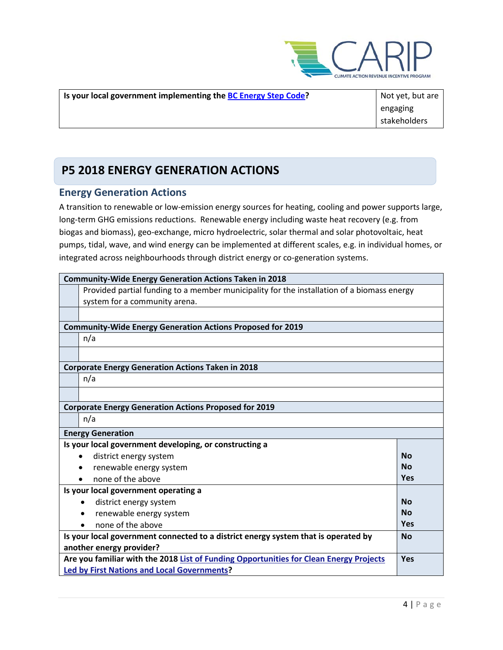

| <b>Is your local government implementing the BC Energy Step Code?</b> | Not yet, but are |
|-----------------------------------------------------------------------|------------------|
|                                                                       | engaging         |
|                                                                       | stakeholders     |

## **P5 2018 ENERGY GENERATION ACTIONS**

### **Energy Generation Actions**

A transition to renewable or low-emission energy sources for heating, cooling and power supports large, long-term GHG emissions reductions. Renewable energy including waste heat recovery (e.g. from biogas and biomass), geo-exchange, micro hydroelectric, solar thermal and solar photovoltaic, heat pumps, tidal, wave, and wind energy can be implemented at different scales, e.g. in individual homes, or integrated across neighbourhoods through district energy or co-generation systems.

| <b>Community-Wide Energy Generation Actions Taken in 2018</b>                                   |            |  |
|-------------------------------------------------------------------------------------------------|------------|--|
| Provided partial funding to a member municipality for the installation of a biomass energy      |            |  |
| system for a community arena.                                                                   |            |  |
|                                                                                                 |            |  |
| <b>Community-Wide Energy Generation Actions Proposed for 2019</b>                               |            |  |
| n/a                                                                                             |            |  |
|                                                                                                 |            |  |
| <b>Corporate Energy Generation Actions Taken in 2018</b>                                        |            |  |
| n/a                                                                                             |            |  |
|                                                                                                 |            |  |
| <b>Corporate Energy Generation Actions Proposed for 2019</b>                                    |            |  |
| n/a                                                                                             |            |  |
| <b>Energy Generation</b>                                                                        |            |  |
| Is your local government developing, or constructing a                                          |            |  |
| district energy system                                                                          | <b>No</b>  |  |
| renewable energy system                                                                         | <b>No</b>  |  |
| none of the above                                                                               | Yes        |  |
| Is your local government operating a                                                            |            |  |
| district energy system<br>$\bullet$                                                             | <b>No</b>  |  |
| renewable energy system                                                                         | <b>No</b>  |  |
| none of the above                                                                               | <b>Yes</b> |  |
| Is your local government connected to a district energy system that is operated by<br><b>No</b> |            |  |
| another energy provider?                                                                        |            |  |
| Are you familiar with the 2018 List of Funding Opportunities for Clean Energy Projects<br>Yes   |            |  |
| <b>Led by First Nations and Local Governments?</b>                                              |            |  |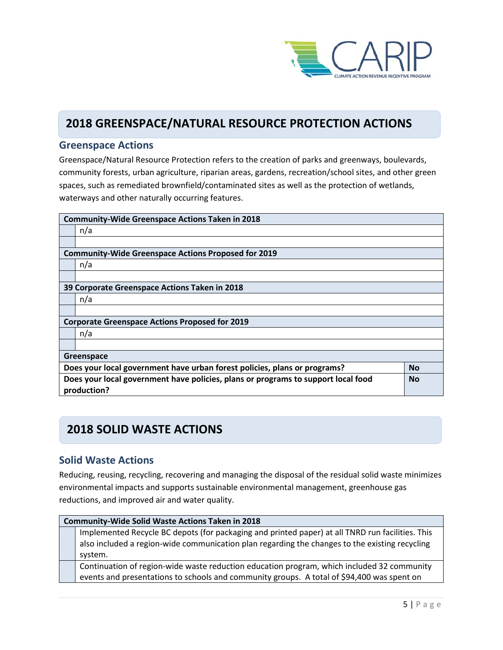

## **2018 GREENSPACE/NATURAL RESOURCE PROTECTION ACTIONS**

### **Greenspace Actions**

Greenspace/Natural Resource Protection refers to the creation of parks and greenways, boulevards, community forests, urban agriculture, riparian areas, gardens, recreation/school sites, and other green spaces, such as remediated brownfield/contaminated sites as well as the protection of wetlands, waterways and other naturally occurring features.

| <b>Community-Wide Greenspace Actions Taken in 2018</b> |                                                                                                |  |  |
|--------------------------------------------------------|------------------------------------------------------------------------------------------------|--|--|
|                                                        | n/a                                                                                            |  |  |
|                                                        |                                                                                                |  |  |
|                                                        | <b>Community-Wide Greenspace Actions Proposed for 2019</b>                                     |  |  |
|                                                        | n/a                                                                                            |  |  |
|                                                        |                                                                                                |  |  |
|                                                        | 39 Corporate Greenspace Actions Taken in 2018                                                  |  |  |
|                                                        | n/a                                                                                            |  |  |
|                                                        |                                                                                                |  |  |
| <b>Corporate Greenspace Actions Proposed for 2019</b>  |                                                                                                |  |  |
|                                                        | n/a                                                                                            |  |  |
|                                                        |                                                                                                |  |  |
|                                                        | Greenspace                                                                                     |  |  |
|                                                        | Does your local government have urban forest policies, plans or programs?<br><b>No</b>         |  |  |
|                                                        | Does your local government have policies, plans or programs to support local food<br><b>No</b> |  |  |
|                                                        | production?                                                                                    |  |  |

## **2018 SOLID WASTE ACTIONS**

### **Solid Waste Actions**

Reducing, reusing, recycling, recovering and managing the disposal of the residual solid waste minimizes environmental impacts and supports sustainable environmental management, greenhouse gas reductions, and improved air and water quality.

| <b>Community-Wide Solid Waste Actions Taken in 2018</b>                                          |  |  |
|--------------------------------------------------------------------------------------------------|--|--|
| Implemented Recycle BC depots (for packaging and printed paper) at all TNRD run facilities. This |  |  |
| also included a region-wide communication plan regarding the changes to the existing recycling   |  |  |
| system.                                                                                          |  |  |
| Continuation of region-wide waste reduction education program, which included 32 community       |  |  |
| events and presentations to schools and community groups. A total of \$94,400 was spent on       |  |  |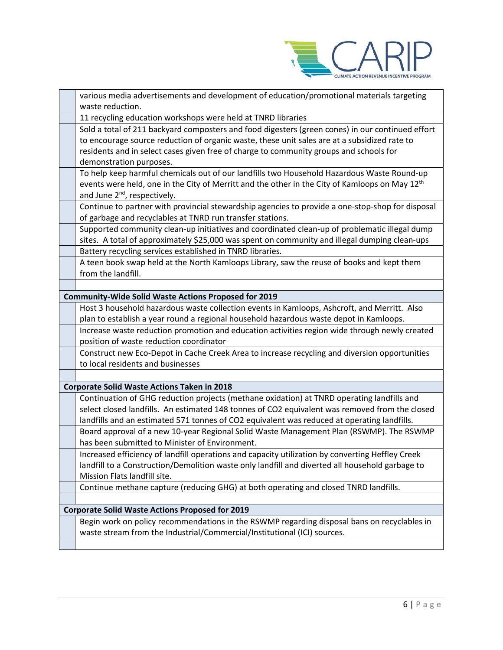

| various media advertisements and development of education/promotional materials targeting<br>waste reduction.                                                                                                                                                                                                         |
|-----------------------------------------------------------------------------------------------------------------------------------------------------------------------------------------------------------------------------------------------------------------------------------------------------------------------|
| 11 recycling education workshops were held at TNRD libraries                                                                                                                                                                                                                                                          |
| Sold a total of 211 backyard composters and food digesters (green cones) in our continued effort<br>to encourage source reduction of organic waste, these unit sales are at a subsidized rate to<br>residents and in select cases given free of charge to community groups and schools for<br>demonstration purposes. |
| To help keep harmful chemicals out of our landfills two Household Hazardous Waste Round-up<br>events were held, one in the City of Merritt and the other in the City of Kamloops on May 12 <sup>th</sup><br>and June 2 <sup>nd</sup> , respectively.                                                                  |
| Continue to partner with provincial stewardship agencies to provide a one-stop-shop for disposal<br>of garbage and recyclables at TNRD run transfer stations.                                                                                                                                                         |
| Supported community clean-up initiatives and coordinated clean-up of problematic illegal dump<br>sites. A total of approximately \$25,000 was spent on community and illegal dumping clean-ups                                                                                                                        |
| Battery recycling services established in TNRD libraries.                                                                                                                                                                                                                                                             |
| A teen book swap held at the North Kamloops Library, saw the reuse of books and kept them<br>from the landfill.                                                                                                                                                                                                       |
|                                                                                                                                                                                                                                                                                                                       |
| <b>Community-Wide Solid Waste Actions Proposed for 2019</b>                                                                                                                                                                                                                                                           |
| Host 3 household hazardous waste collection events in Kamloops, Ashcroft, and Merritt. Also                                                                                                                                                                                                                           |
| plan to establish a year round a regional household hazardous waste depot in Kamloops.                                                                                                                                                                                                                                |
| Increase waste reduction promotion and education activities region wide through newly created<br>position of waste reduction coordinator                                                                                                                                                                              |
| Construct new Eco-Depot in Cache Creek Area to increase recycling and diversion opportunities                                                                                                                                                                                                                         |
| to local residents and businesses                                                                                                                                                                                                                                                                                     |
|                                                                                                                                                                                                                                                                                                                       |
| <b>Corporate Solid Waste Actions Taken in 2018</b>                                                                                                                                                                                                                                                                    |
| Continuation of GHG reduction projects (methane oxidation) at TNRD operating landfills and<br>select closed landfills. An estimated 148 tonnes of CO2 equivalent was removed from the closed<br>landfills and an estimated 571 tonnes of CO2 equivalent was reduced at operating landfills.                           |
| Board approval of a new 10-year Regional Solid Waste Management Plan (RSWMP). The RSWMP<br>has been submitted to Minister of Environment.                                                                                                                                                                             |
| Increased efficiency of landfill operations and capacity utilization by converting Heffley Creek<br>landfill to a Construction/Demolition waste only landfill and diverted all household garbage to<br>Mission Flats landfill site.                                                                                   |
| Continue methane capture (reducing GHG) at both operating and closed TNRD landfills.                                                                                                                                                                                                                                  |
|                                                                                                                                                                                                                                                                                                                       |
| <b>Corporate Solid Waste Actions Proposed for 2019</b>                                                                                                                                                                                                                                                                |
| Begin work on policy recommendations in the RSWMP regarding disposal bans on recyclables in<br>waste stream from the Industrial/Commercial/Institutional (ICI) sources.                                                                                                                                               |
|                                                                                                                                                                                                                                                                                                                       |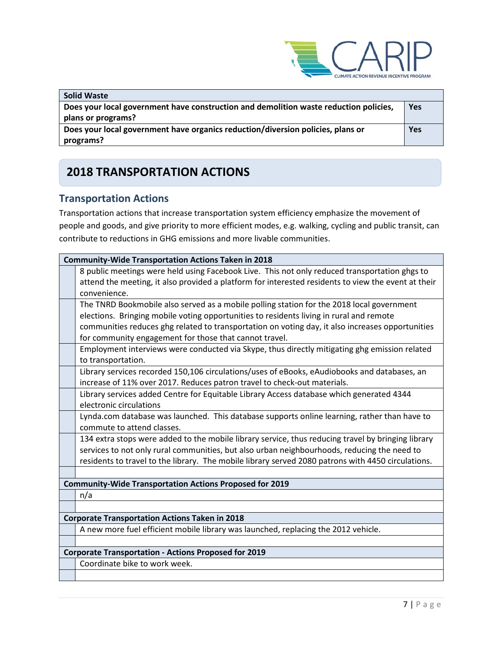

| <b>Solid Waste</b>                                                                    |     |
|---------------------------------------------------------------------------------------|-----|
| Does your local government have construction and demolition waste reduction policies, | Yes |
| plans or programs?                                                                    |     |
| Does your local government have organics reduction/diversion policies, plans or       | Yes |
| programs?                                                                             |     |

## **2018 TRANSPORTATION ACTIONS**

### **Transportation Actions**

Transportation actions that increase transportation system efficiency emphasize the movement of people and goods, and give priority to more efficient modes, e.g. walking, cycling and public transit, can contribute to reductions in GHG emissions and more livable communities.

| <b>Community-Wide Transportation Actions Taken in 2018</b>                                                          |  |  |
|---------------------------------------------------------------------------------------------------------------------|--|--|
| 8 public meetings were held using Facebook Live. This not only reduced transportation ghgs to                       |  |  |
| attend the meeting, it also provided a platform for interested residents to view the event at their<br>convenience. |  |  |
| The TNRD Bookmobile also served as a mobile polling station for the 2018 local government                           |  |  |
| elections. Bringing mobile voting opportunities to residents living in rural and remote                             |  |  |
| communities reduces ghg related to transportation on voting day, it also increases opportunities                    |  |  |
| for community engagement for those that cannot travel.                                                              |  |  |
| Employment interviews were conducted via Skype, thus directly mitigating ghg emission related<br>to transportation. |  |  |
| Library services recorded 150,106 circulations/uses of eBooks, eAudiobooks and databases, an                        |  |  |
| increase of 11% over 2017. Reduces patron travel to check-out materials.                                            |  |  |
| Library services added Centre for Equitable Library Access database which generated 4344                            |  |  |
| electronic circulations                                                                                             |  |  |
| Lynda.com database was launched. This database supports online learning, rather than have to                        |  |  |
| commute to attend classes.                                                                                          |  |  |
| 134 extra stops were added to the mobile library service, thus reducing travel by bringing library                  |  |  |
| services to not only rural communities, but also urban neighbourhoods, reducing the need to                         |  |  |
| residents to travel to the library. The mobile library served 2080 patrons with 4450 circulations.                  |  |  |
|                                                                                                                     |  |  |
| <b>Community-Wide Transportation Actions Proposed for 2019</b>                                                      |  |  |
| n/a                                                                                                                 |  |  |
|                                                                                                                     |  |  |
| <b>Corporate Transportation Actions Taken in 2018</b>                                                               |  |  |
| A new more fuel efficient mobile library was launched, replacing the 2012 vehicle.                                  |  |  |
|                                                                                                                     |  |  |
| <b>Corporate Transportation - Actions Proposed for 2019</b>                                                         |  |  |
| Coordinate bike to work week.                                                                                       |  |  |
|                                                                                                                     |  |  |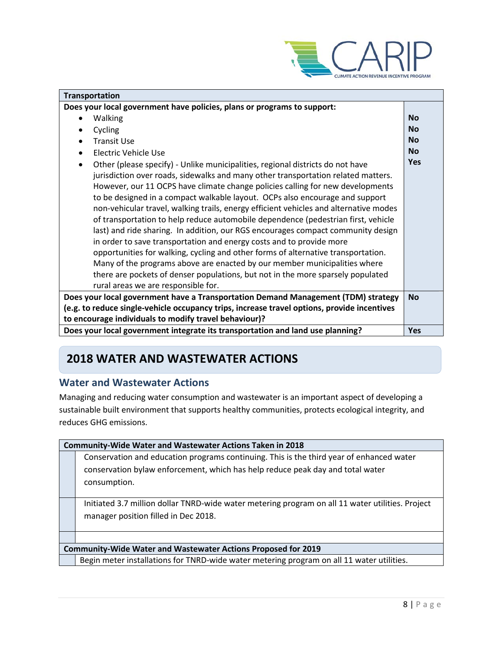

| <b>Transportation</b>                                                                       |            |  |
|---------------------------------------------------------------------------------------------|------------|--|
| Does your local government have policies, plans or programs to support:                     |            |  |
| <b>Walking</b>                                                                              | <b>No</b>  |  |
| Cycling                                                                                     | <b>No</b>  |  |
| <b>Transit Use</b>                                                                          | <b>No</b>  |  |
| Electric Vehicle Use                                                                        | <b>No</b>  |  |
| Other (please specify) - Unlike municipalities, regional districts do not have<br>$\bullet$ | Yes        |  |
| jurisdiction over roads, sidewalks and many other transportation related matters.           |            |  |
| However, our 11 OCPS have climate change policies calling for new developments              |            |  |
| to be designed in a compact walkable layout. OCPs also encourage and support                |            |  |
| non-vehicular travel, walking trails, energy efficient vehicles and alternative modes       |            |  |
| of transportation to help reduce automobile dependence (pedestrian first, vehicle           |            |  |
| last) and ride sharing. In addition, our RGS encourages compact community design            |            |  |
| in order to save transportation and energy costs and to provide more                        |            |  |
| opportunities for walking, cycling and other forms of alternative transportation.           |            |  |
| Many of the programs above are enacted by our member municipalities where                   |            |  |
| there are pockets of denser populations, but not in the more sparsely populated             |            |  |
| rural areas we are responsible for.                                                         |            |  |
| Does your local government have a Transportation Demand Management (TDM) strategy           | <b>No</b>  |  |
| (e.g. to reduce single-vehicle occupancy trips, increase travel options, provide incentives |            |  |
| to encourage individuals to modify travel behaviour)?                                       |            |  |
| Does your local government integrate its transportation and land use planning?              | <b>Yes</b> |  |

## **2018 WATER AND WASTEWATER ACTIONS**

### **Water and Wastewater Actions**

Managing and reducing water consumption and wastewater is an important aspect of developing a sustainable built environment that supports healthy communities, protects ecological integrity, and reduces GHG emissions.

|                                                                      | <b>Community-Wide Water and Wastewater Actions Taken in 2018</b>                                 |  |  |
|----------------------------------------------------------------------|--------------------------------------------------------------------------------------------------|--|--|
|                                                                      | Conservation and education programs continuing. This is the third year of enhanced water         |  |  |
|                                                                      | conservation bylaw enforcement, which has help reduce peak day and total water                   |  |  |
|                                                                      | consumption.                                                                                     |  |  |
|                                                                      |                                                                                                  |  |  |
|                                                                      | Initiated 3.7 million dollar TNRD-wide water metering program on all 11 water utilities. Project |  |  |
|                                                                      | manager position filled in Dec 2018.                                                             |  |  |
|                                                                      |                                                                                                  |  |  |
|                                                                      |                                                                                                  |  |  |
| <b>Community-Wide Water and Wastewater Actions Proposed for 2019</b> |                                                                                                  |  |  |
|                                                                      | Begin meter installations for TNRD-wide water metering program on all 11 water utilities.        |  |  |
|                                                                      |                                                                                                  |  |  |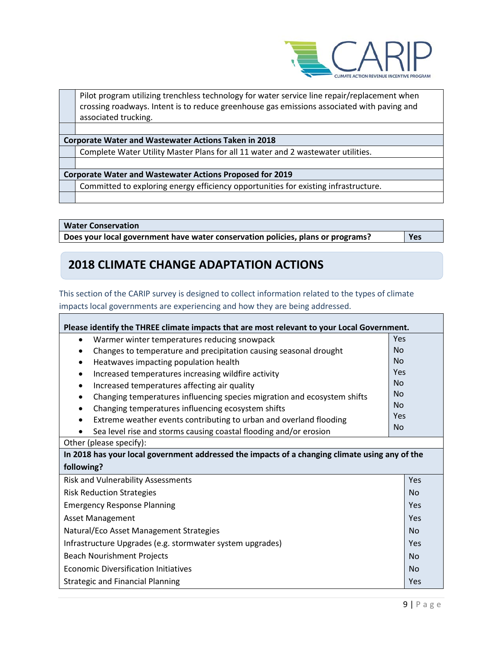

Pilot program utilizing trenchless technology for water service line repair/replacement when crossing roadways. Intent is to reduce greenhouse gas emissions associated with paving and associated trucking.

**Corporate Water and Wastewater Actions Taken in 2018**

Complete Water Utility Master Plans for all 11 water and 2 wastewater utilities.

**Corporate Water and Wastewater Actions Proposed for 2019**

Committed to exploring energy efficiency opportunities for existing infrastructure.

**Water Conservation**

**Does your local government have water conservation policies, plans or programs? Yes**

## **2018 CLIMATE CHANGE ADAPTATION ACTIONS**

This section of the CARIP survey is designed to collect information related to the types of climate impacts local governments are experiencing and how they are being addressed.

| Please identify the THREE climate impacts that are most relevant to your Local Government.     |           |  |  |
|------------------------------------------------------------------------------------------------|-----------|--|--|
| Warmer winter temperatures reducing snowpack<br>$\bullet$                                      | Yes       |  |  |
| Changes to temperature and precipitation causing seasonal drought<br>$\bullet$                 | <b>No</b> |  |  |
| Heatwaves impacting population health<br>$\bullet$                                             | <b>No</b> |  |  |
| Increased temperatures increasing wildfire activity<br>$\bullet$                               | Yes       |  |  |
| Increased temperatures affecting air quality<br>$\bullet$                                      | <b>No</b> |  |  |
| Changing temperatures influencing species migration and ecosystem shifts<br>$\bullet$          | <b>No</b> |  |  |
| Changing temperatures influencing ecosystem shifts<br>$\bullet$                                | <b>No</b> |  |  |
| Extreme weather events contributing to urban and overland flooding<br>$\bullet$                | Yes       |  |  |
| Sea level rise and storms causing coastal flooding and/or erosion                              | <b>No</b> |  |  |
| Other (please specify):                                                                        |           |  |  |
| In 2018 has your local government addressed the impacts of a changing climate using any of the |           |  |  |
| following?                                                                                     |           |  |  |
| Risk and Vulnerability Assessments                                                             | Yes       |  |  |
| <b>Risk Reduction Strategies</b>                                                               |           |  |  |
| <b>Emergency Response Planning</b>                                                             | Yes       |  |  |
| <b>Asset Management</b>                                                                        |           |  |  |
| Natural/Eco Asset Management Strategies                                                        |           |  |  |
| Infrastructure Upgrades (e.g. stormwater system upgrades)                                      | Yes       |  |  |
| <b>Beach Nourishment Projects</b>                                                              |           |  |  |
| <b>Economic Diversification Initiatives</b>                                                    |           |  |  |
| <b>Strategic and Financial Planning</b>                                                        | Yes       |  |  |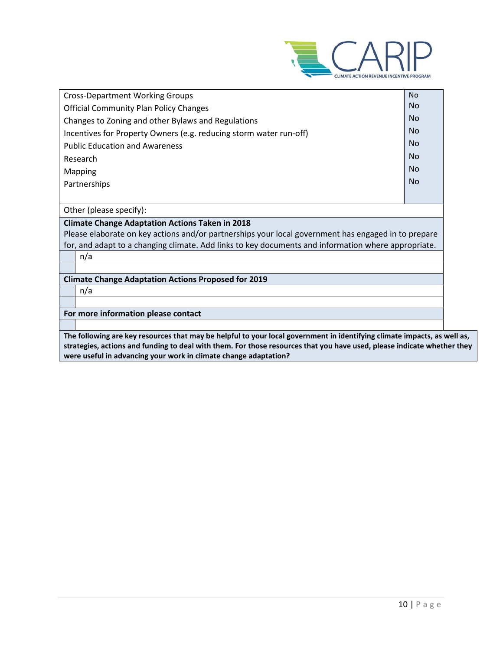

| <b>Cross-Department Working Groups</b>                                                                                           | <b>No</b> |
|----------------------------------------------------------------------------------------------------------------------------------|-----------|
| <b>Official Community Plan Policy Changes</b>                                                                                    | No        |
| Changes to Zoning and other Bylaws and Regulations                                                                               | <b>No</b> |
| Incentives for Property Owners (e.g. reducing storm water run-off)                                                               | No        |
| <b>Public Education and Awareness</b>                                                                                            | <b>No</b> |
| Research                                                                                                                         | <b>No</b> |
| Mapping                                                                                                                          | <b>No</b> |
| Partnerships                                                                                                                     | <b>No</b> |
|                                                                                                                                  |           |
| Other (please specify):                                                                                                          |           |
| <b>Climate Change Adaptation Actions Taken in 2018</b>                                                                           |           |
| Please elaborate on key actions and/or partnerships your local government has engaged in to prepare                              |           |
| for, and adapt to a changing climate. Add links to key documents and information where appropriate.                              |           |
| n/a                                                                                                                              |           |
|                                                                                                                                  |           |
| <b>Climate Change Adaptation Actions Proposed for 2019</b>                                                                       |           |
| n/a                                                                                                                              |           |
|                                                                                                                                  |           |
| For more information please contact                                                                                              |           |
|                                                                                                                                  |           |
| The fellowing evening<br>وساحمها ويتنمين مقالينة والمبارع والتنميون فمواق<br>منازع والمستقل والمستنا والتقارب والمارية والمنازعة |           |

**The following are key resources that may be helpful to your local government in identifying climate impacts, as well as, strategies, actions and funding to deal with them. For those resources that you have used, please indicate whether they were useful in advancing your work in climate change adaptation?**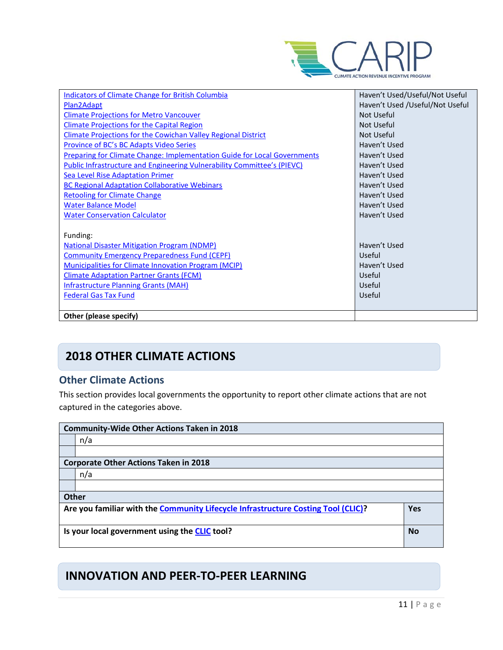

| Indicators of Climate Change for British Columbia                               | Haven't Used/Useful/Not Useful  |
|---------------------------------------------------------------------------------|---------------------------------|
| Plan2Adapt                                                                      | Haven't Used /Useful/Not Useful |
| <b>Climate Projections for Metro Vancouver</b>                                  | Not Useful                      |
| <b>Climate Projections for the Capital Region</b>                               | Not Useful                      |
| <b>Climate Projections for the Cowichan Valley Regional District</b>            | Not Useful                      |
| Province of BC's BC Adapts Video Series                                         | Haven't Used                    |
| <b>Preparing for Climate Change: Implementation Guide for Local Governments</b> | Haven't Used                    |
| Public Infrastructure and Engineering Vulnerability Committee's (PIEVC)         | Haven't Used                    |
| <b>Sea Level Rise Adaptation Primer</b>                                         | Haven't Used                    |
| <b>BC Regional Adaptation Collaborative Webinars</b>                            | Haven't Used                    |
| <b>Retooling for Climate Change</b>                                             | Haven't Used                    |
| <b>Water Balance Model</b>                                                      | Haven't Used                    |
| <b>Water Conservation Calculator</b>                                            | Haven't Used                    |
|                                                                                 |                                 |
| Funding:                                                                        |                                 |
| <b>National Disaster Mitigation Program (NDMP)</b>                              | Haven't Used                    |
| <b>Community Emergency Preparedness Fund (CEPF)</b>                             | Useful                          |
| <b>Municipalities for Climate Innovation Program (MCIP)</b>                     | Haven't Used                    |
| <b>Climate Adaptation Partner Grants (FCM)</b>                                  | Useful                          |
| <b>Infrastructure Planning Grants (MAH)</b>                                     | Useful                          |
| <b>Federal Gas Tax Fund</b>                                                     | Useful                          |
|                                                                                 |                                 |
| Other (please specify)                                                          |                                 |

## **2018 OTHER CLIMATE ACTIONS**

### **Other Climate Actions**

This section provides local governments the opportunity to report other climate actions that are not captured in the categories above.

|              | <b>Community-Wide Other Actions Taken in 2018</b>                                 |            |
|--------------|-----------------------------------------------------------------------------------|------------|
|              | n/a                                                                               |            |
|              |                                                                                   |            |
|              | <b>Corporate Other Actions Taken in 2018</b>                                      |            |
|              | n/a                                                                               |            |
|              |                                                                                   |            |
| <b>Other</b> |                                                                                   |            |
|              | Are you familiar with the Community Lifecycle Infrastructure Costing Tool (CLIC)? | <b>Yes</b> |
|              | Is your local government using the CLIC tool?                                     | <b>No</b>  |

## **INNOVATION AND PEER-TO-PEER LEARNING**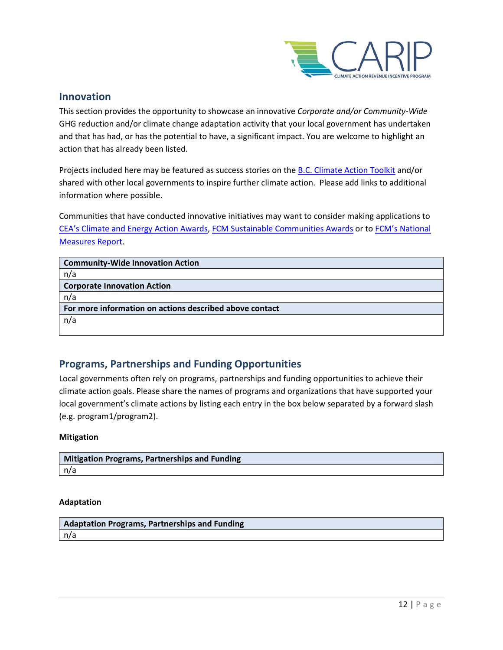

### **Innovation**

This section provides the opportunity to showcase an innovative *Corporate and/or Community-Wide*  GHG reduction and/or climate change adaptation activity that your local government has undertaken and that has had, or has the potential to have, a significant impact. You are welcome to highlight an action that has already been listed.

Projects included here may be featured as success stories on th[e B.C. Climate Action Toolkit](http://www.toolkit.bc.ca/) and/or shared with other local governments to inspire further climate action. Please add links to additional information where possible.

Communities that have conducted innovative initiatives may want to consider making applications to [CEA's Climate and Energy Action Awards,](http://communityenergy.bc.ca/climate-and-energy-action-awards/) [FCM Sustainable Communities Awards](https://fcm.ca/home/awards/sustainable-communities-awards.htm) or t[o FCM's National](https://fcm.ca/home/programs/partners-for-climate-protection/national-measures-report.htm)  [Measures Report.](https://fcm.ca/home/programs/partners-for-climate-protection/national-measures-report.htm)

| <b>Community-Wide Innovation Action</b>                 |
|---------------------------------------------------------|
| n/a                                                     |
| <b>Corporate Innovation Action</b>                      |
| n/a                                                     |
| For more information on actions described above contact |
| n/a                                                     |
|                                                         |

### **Programs, Partnerships and Funding Opportunities**

Local governments often rely on programs, partnerships and funding opportunities to achieve their climate action goals. Please share the names of programs and organizations that have supported your local government's climate actions by listing each entry in the box below separated by a forward slash (e.g. program1/program2).

### **Mitigation**

| Mitigation Programs, Partnerships and Funding |  |
|-----------------------------------------------|--|
| l n/a                                         |  |

### **Adaptation**

**Adaptation Programs, Partnerships and Funding** n/a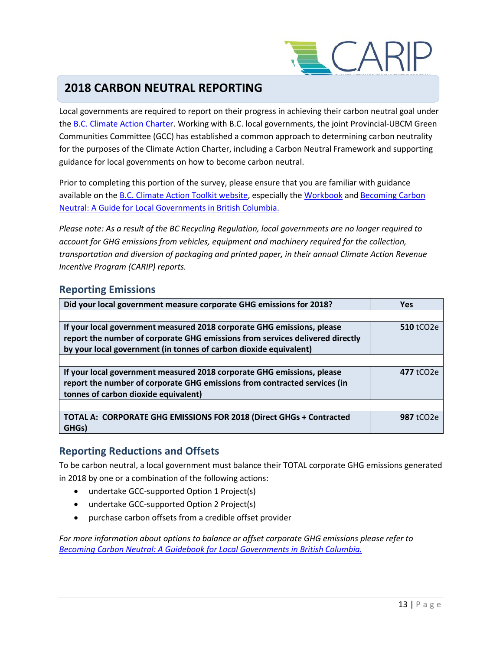

## **2018 CARBON NEUTRAL REPORTING**

Local governments are required to report on their progress in achieving their carbon neutral goal under the [B.C. Climate Action Charter.](https://www2.gov.bc.ca/gov/content/governments/local-governments/climate-action/bc-climate-action-charter) Working with B.C. local governments, the joint Provincial-UBCM Green Communities Committee (GCC) has established a common approach to determining carbon neutrality for the purposes of the Climate Action Charter, including a Carbon Neutral Framework and supporting guidance for local governments on how to become carbon neutral.

Prior to completing this portion of the survey, please ensure that you are familiar with guidance available on th[e B.C. Climate Action Toolkit website,](http://www.toolkit.bc.ca/) especially the [Workbook](https://www.toolkit.bc.ca/sites/default/files/CarbonNeutralWorkbook.V2_noapdcs_03.12_1.pdf) and [Becoming Carbon](http://www.toolkit.bc.ca/sites/default/files/Becoming%20Carbon%20Neutral%20V3%20FINAL%20July%202014_0.pdf)  [Neutral: A Guide for Local Governments in British Columbia.](http://www.toolkit.bc.ca/sites/default/files/Becoming%20Carbon%20Neutral%20V3%20FINAL%20July%202014_0.pdf)

*Please note: As a result of the BC Recycling Regulation, local governments are no longer required to account for GHG emissions from vehicles, equipment and machinery required for the collection, transportation and diversion of packaging and printed paper, in their annual Climate Action Revenue Incentive Program (CARIP) reports.*

### **Reporting Emissions**

| Did your local government measure corporate GHG emissions for 2018?           | <b>Yes</b>              |
|-------------------------------------------------------------------------------|-------------------------|
|                                                                               |                         |
| If your local government measured 2018 corporate GHG emissions, please        | <b>510 tCO2e</b>        |
| report the number of corporate GHG emissions from services delivered directly |                         |
| by your local government (in tonnes of carbon dioxide equivalent)             |                         |
|                                                                               |                         |
| If your local government measured 2018 corporate GHG emissions, please        | $477$ tCO <sub>2e</sub> |
| report the number of corporate GHG emissions from contracted services (in     |                         |
| tonnes of carbon dioxide equivalent)                                          |                         |
|                                                                               |                         |
| TOTAL A: CORPORATE GHG EMISSIONS FOR 2018 (Direct GHGs + Contracted           | 987 tCO <sub>2e</sub>   |
| GHGs)                                                                         |                         |

### **Reporting Reductions and Offsets**

To be carbon neutral, a local government must balance their TOTAL corporate GHG emissions generated in 2018 by one or a combination of the following actions:

- undertake GCC-supported Option 1 Project(s)
- undertake GCC-supported Option 2 Project(s)
- purchase carbon offsets from a credible offset provider

*For more information about options to balance or offset corporate GHG emissions please refer to [Becoming Carbon Neutral: A Guidebook for Local Governments in British Columbia.](http://www.toolkit.bc.ca/sites/default/files/Becoming%20Carbon%20Neutral%20V3%20FINAL%20July%202014_0.pdf)*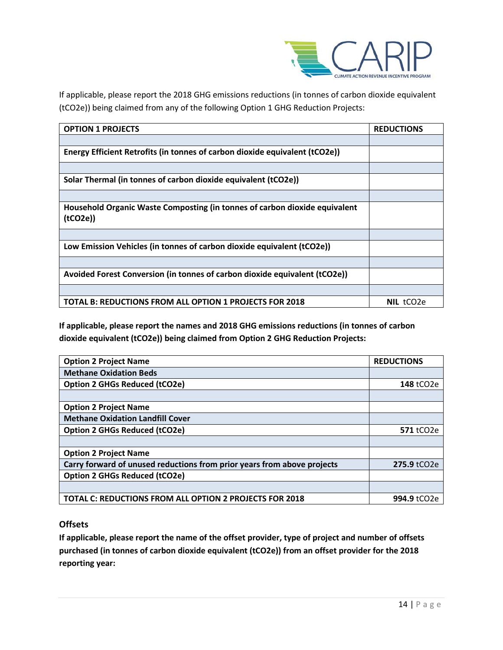

If applicable, please report the 2018 GHG emissions reductions (in tonnes of carbon dioxide equivalent (tCO2e)) being claimed from any of the following Option 1 GHG Reduction Projects:

| <b>OPTION 1 PROJECTS</b>                                                              | <b>REDUCTIONS</b>     |
|---------------------------------------------------------------------------------------|-----------------------|
|                                                                                       |                       |
| Energy Efficient Retrofits (in tonnes of carbon dioxide equivalent (tCO2e))           |                       |
|                                                                                       |                       |
| Solar Thermal (in tonnes of carbon dioxide equivalent (tCO2e))                        |                       |
|                                                                                       |                       |
| Household Organic Waste Composting (in tonnes of carbon dioxide equivalent<br>(tCO2e) |                       |
|                                                                                       |                       |
| Low Emission Vehicles (in tonnes of carbon dioxide equivalent (tCO2e))                |                       |
|                                                                                       |                       |
| Avoided Forest Conversion (in tonnes of carbon dioxide equivalent (tCO2e))            |                       |
|                                                                                       |                       |
| TOTAL B: REDUCTIONS FROM ALL OPTION 1 PROJECTS FOR 2018                               | NIL tCO <sub>2e</sub> |

**If applicable, please report the names and 2018 GHG emissions reductions (in tonnes of carbon dioxide equivalent (tCO2e)) being claimed from Option 2 GHG Reduction Projects:**

| <b>Option 2 Project Name</b>                                            | <b>REDUCTIONS</b>       |
|-------------------------------------------------------------------------|-------------------------|
| <b>Methane Oxidation Beds</b>                                           |                         |
| <b>Option 2 GHGs Reduced (tCO2e)</b>                                    | 148 tCO2e               |
|                                                                         |                         |
| <b>Option 2 Project Name</b>                                            |                         |
| <b>Methane Oxidation Landfill Cover</b>                                 |                         |
| <b>Option 2 GHGs Reduced (tCO2e)</b>                                    | 571 tCO2e               |
|                                                                         |                         |
| <b>Option 2 Project Name</b>                                            |                         |
| Carry forward of unused reductions from prior years from above projects | 275.9 tCO2e             |
| <b>Option 2 GHGs Reduced (tCO2e)</b>                                    |                         |
|                                                                         |                         |
| <b>TOTAL C: REDUCTIONS FROM ALL OPTION 2 PROJECTS FOR 2018</b>          | 994.9 tCO <sub>2e</sub> |

### **Offsets**

**If applicable, please report the name of the offset provider, type of project and number of offsets purchased (in tonnes of carbon dioxide equivalent (tCO2e)) from an offset provider for the 2018 reporting year:**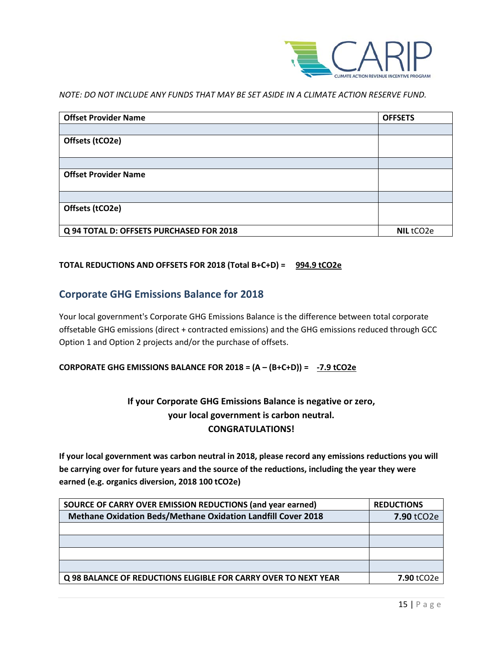

*NOTE: DO NOT INCLUDE ANY FUNDS THAT MAY BE SET ASIDE IN A CLIMATE ACTION RESERVE FUND.*

| <b>Offset Provider Name</b>              | <b>OFFSETS</b> |
|------------------------------------------|----------------|
|                                          |                |
| Offsets (tCO2e)                          |                |
|                                          |                |
| <b>Offset Provider Name</b>              |                |
|                                          |                |
| Offsets (tCO2e)                          |                |
| Q 94 TOTAL D: OFFSETS PURCHASED FOR 2018 | NIL tCO2e      |

### **TOTAL REDUCTIONS AND OFFSETS FOR 2018 (Total B+C+D) = 994.9 tCO2e**

### **Corporate GHG Emissions Balance for 2018**

Your local government's Corporate GHG Emissions Balance is the difference between total corporate offsetable GHG emissions (direct + contracted emissions) and the GHG emissions reduced through GCC Option 1 and Option 2 projects and/or the purchase of offsets.

### **CORPORATE GHG EMISSIONS BALANCE FOR 2018 = (A – (B+C+D)) = -7.9 tCO2e**

### **If your Corporate GHG Emissions Balance is negative or zero, your local government is carbon neutral. CONGRATULATIONS!**

**If your local government was carbon neutral in 2018, please record any emissions reductions you will be carrying over for future years and the source of the reductions, including the year they were earned (e.g. organics diversion, 2018 100 tCO2e)**

| SOURCE OF CARRY OVER EMISSION REDUCTIONS (and year earned)      | <b>REDUCTIONS</b> |
|-----------------------------------------------------------------|-------------------|
| Methane Oxidation Beds/Methane Oxidation Landfill Cover 2018    | 7.90 tCO2e        |
|                                                                 |                   |
|                                                                 |                   |
|                                                                 |                   |
|                                                                 |                   |
| Q 98 BALANCE OF REDUCTIONS ELIGIBLE FOR CARRY OVER TO NEXT YEAR | <b>7.90 tCO2e</b> |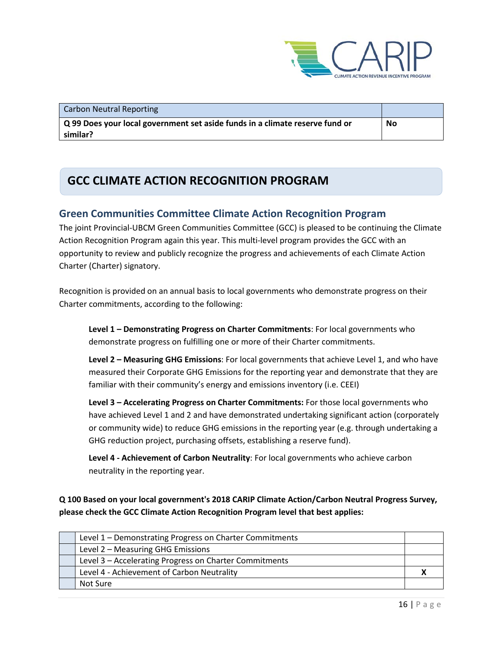

| Carbon Neutral Reporting                                                     |    |
|------------------------------------------------------------------------------|----|
| Q 99 Does your local government set aside funds in a climate reserve fund or | No |
| similar?                                                                     |    |

## **GCC CLIMATE ACTION RECOGNITION PROGRAM**

### **Green Communities Committee Climate Action Recognition Program**

The joint Provincial-UBCM Green Communities Committee (GCC) is pleased to be continuing the Climate Action Recognition Program again this year. This multi-level program provides the GCC with an opportunity to review and publicly recognize the progress and achievements of each Climate Action Charter (Charter) signatory.

Recognition is provided on an annual basis to local governments who demonstrate progress on their Charter commitments, according to the following:

**Level 1 – Demonstrating Progress on Charter Commitments**: For local governments who demonstrate progress on fulfilling one or more of their Charter commitments.

**Level 2 – Measuring GHG Emissions**: For local governments that achieve Level 1, and who have measured their Corporate GHG Emissions for the reporting year and demonstrate that they are familiar with their community's energy and emissions inventory (i.e. CEEI)

**Level 3 – Accelerating Progress on Charter Commitments:** For those local governments who have achieved Level 1 and 2 and have demonstrated undertaking significant action (corporately or community wide) to reduce GHG emissions in the reporting year (e.g. through undertaking a GHG reduction project, purchasing offsets, establishing a reserve fund).

**Level 4 - Achievement of Carbon Neutrality**: For local governments who achieve carbon neutrality in the reporting year.

**Q 100 Based on your local government's 2018 CARIP Climate Action/Carbon Neutral Progress Survey, please check the GCC Climate Action Recognition Program level that best applies:**

| Level 1 – Demonstrating Progress on Charter Commitments |  |
|---------------------------------------------------------|--|
| Level 2 - Measuring GHG Emissions                       |  |
| Level 3 - Accelerating Progress on Charter Commitments  |  |
| Level 4 - Achievement of Carbon Neutrality              |  |
| Not Sure                                                |  |